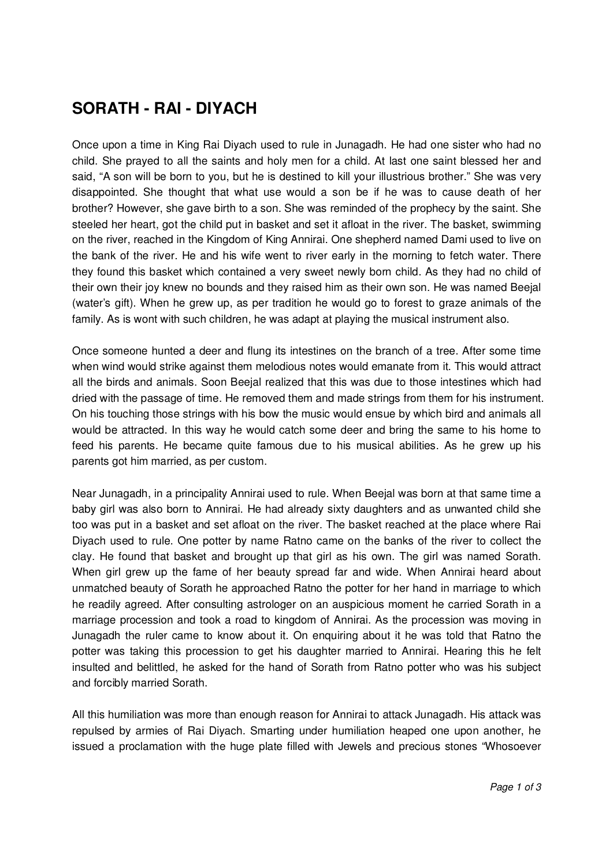## **SORATH - RAI - DIYACH**

Once upon a time in King Rai Diyach used to rule in Junagadh. He had one sister who had no child. She prayed to all the saints and holy men for a child. At last one saint blessed her and said, "A son will be born to you, but he is destined to kill your illustrious brother." She was very disappointed. She thought that what use would a son be if he was to cause death of her brother? However, she gave birth to a son. She was reminded of the prophecy by the saint. She steeled her heart, got the child put in basket and set it afloat in the river. The basket, swimming on the river, reached in the Kingdom of King Annirai. One shepherd named Dami used to live on the bank of the river. He and his wife went to river early in the morning to fetch water. There they found this basket which contained a very sweet newly born child. As they had no child of their own their joy knew no bounds and they raised him as their own son. He was named Beejal (water's gift). When he grew up, as per tradition he would go to forest to graze animals of the family. As is wont with such children, he was adapt at playing the musical instrument also.

Once someone hunted a deer and flung its intestines on the branch of a tree. After some time when wind would strike against them melodious notes would emanate from it. This would attract all the birds and animals. Soon Beejal realized that this was due to those intestines which had dried with the passage of time. He removed them and made strings from them for his instrument. On his touching those strings with his bow the music would ensue by which bird and animals all would be attracted. In this way he would catch some deer and bring the same to his home to feed his parents. He became quite famous due to his musical abilities. As he grew up his parents got him married, as per custom.

Near Junagadh, in a principality Annirai used to rule. When Beejal was born at that same time a baby girl was also born to Annirai. He had already sixty daughters and as unwanted child she too was put in a basket and set afloat on the river. The basket reached at the place where Rai Diyach used to rule. One potter by name Ratno came on the banks of the river to collect the clay. He found that basket and brought up that girl as his own. The girl was named Sorath. When girl grew up the fame of her beauty spread far and wide. When Annirai heard about unmatched beauty of Sorath he approached Ratno the potter for her hand in marriage to which he readily agreed. After consulting astrologer on an auspicious moment he carried Sorath in a marriage procession and took a road to kingdom of Annirai. As the procession was moving in Junagadh the ruler came to know about it. On enquiring about it he was told that Ratno the potter was taking this procession to get his daughter married to Annirai. Hearing this he felt insulted and belittled, he asked for the hand of Sorath from Ratno potter who was his subject and forcibly married Sorath.

All this humiliation was more than enough reason for Annirai to attack Junagadh. His attack was repulsed by armies of Rai Diyach. Smarting under humiliation heaped one upon another, he issued a proclamation with the huge plate filled with Jewels and precious stones "Whosoever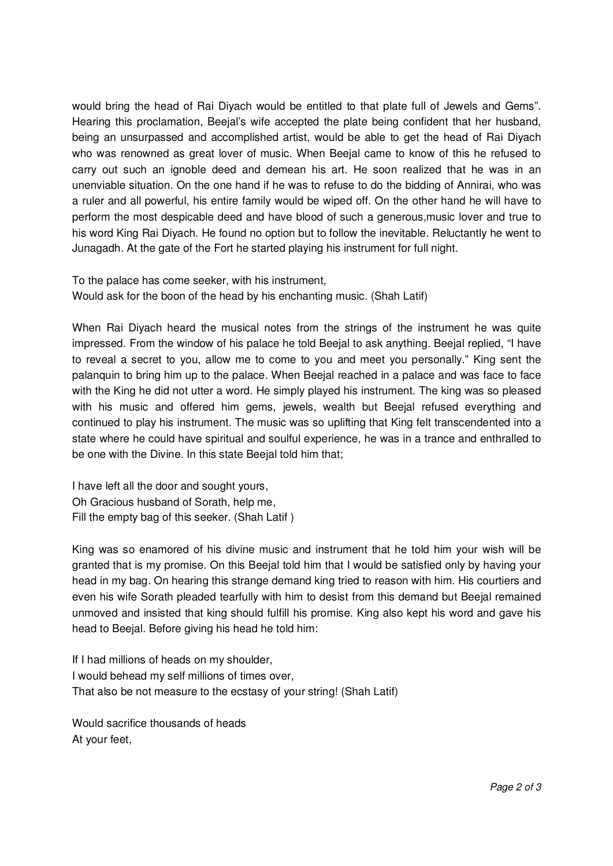would bring the head of Rai Diyach would be entitled to that plate full of Jewels and Gems". Hearing this proclamation, Beejal's wife accepted the plate being confident that her husband, being an unsurpassed and accomplished artist, would be able to get the head of Rai Diyach who was renowned as great lover of music. When Beejal came to know of this he refused to carry out such an ignoble deed and demean his art. He soon realized that he was in an unenviable situation. On the one hand if he was to refuse to do the bidding of Annirai, who was a ruler and all powerful, his entire family would be wiped off. On the other hand he will have to perform the most despicable deed and have blood of such a generous,music lover and true to his word King Rai Diyach. He found no option but to follow the inevitable. Reluctantly he went to Junagadh. At the gate of the Fort he started playing his instrument for full night.

To the palace has come seeker, with his instrument, Would ask for the boon of the head by his enchanting music. (Shah Latif)

When Rai Diyach heard the musical notes from the strings of the instrument he was quite impressed. From the window of his palace he told Beejal to ask anything. Beejal replied, "I have to reveal a secret to you, allow me to come to you and meet you personally." King sent the palanquin to bring him up to the palace. When Beejal reached in a palace and was face to face with the King he did not utter a word. He simply played his instrument. The king was so pleased with his music and offered him gems, jewels, wealth but Beejal refused everything and continued to play his instrument. The music was so uplifting that King felt transcendented into a state where he could have spiritual and soulful experience, he was in a trance and enthralled to be one with the Divine. In this state Beejal told him that;

I have left all the door and sought yours, Oh Gracious husband of Sorath, help me, Fill the empty bag of this seeker. (Shah Latif )

King was so enamored of his divine music and instrument that he told him your wish will be granted that is my promise. On this Beejal told him that I would be satisfied only by having your head in my bag. On hearing this strange demand king tried to reason with him. His courtiers and even his wife Sorath pleaded tearfully with him to desist from this demand but Beejal remained unmoved and insisted that king should fulfill his promise. King also kept his word and gave his head to Beejal. Before giving his head he told him:

If I had millions of heads on my shoulder, I would behead my self millions of times over, That also be not measure to the ecstasy of your string! (Shah Latif)

Would sacrifice thousands of heads At your feet,